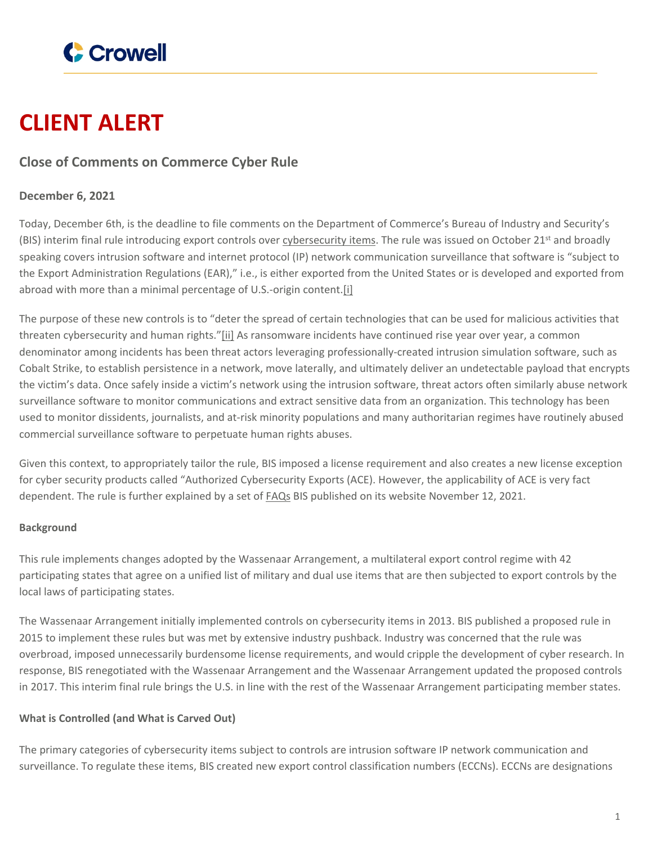

# **CLIENT ALERT**

# **Close of Comments on Commerce Cyber Rule**

# **December 6, 2021**

Today, December 6th, is the deadline to file comments on the Department of Commerce's Bureau of Industry and Security's (BIS) interim final rule introducing export controls over [cybersecurity](https://www.federalregister.gov/documents/2021/10/21/2021-22774/information-security-controls-cybersecurity-items) items. The rule was issued on October 21<sup>st</sup> and broadly speaking covers intrusion software and internet protocol (IP) network communication surveillance that software is "subject to the Export Administration Regulations (EAR)," i.e., is either exported from the United States or is developed and exported from abroad with more than a minimal percentage of U.S.-origin content.[i]

The purpose of these new controls is to "deter the spread of certain technologies that can be used for malicious activities that threaten cybersecurity and human rights."[ii] As ransomware incidents have continued rise year over year, a common denominator among incidents has been threat actors leveraging professionally-created intrusion simulation software, such as Cobalt Strike, to establish persistence in a network, move laterally, and ultimately deliver an undetectable payload that encrypts the victim's data. Once safely inside a victim's network using the intrusion software, threat actors often similarly abuse network surveillance software to monitor communications and extract sensitive data from an organization. This technology has been used to monitor dissidents, journalists, and at-risk minority populations and many authoritarian regimes have routinely abused commercial surveillance software to perpetuate human rights abuses.

Given this context, to appropriately tailor the rule, BIS imposed a license requirement and also creates a new license exception for cyber security products called "Authorized Cybersecurity Exports (ACE). However, the applicability of ACE is very fact dependent. The rule is further explained by a set of **[FAQs](https://www.bis.doc.gov/index.php/documents/pdfs/2872-cyber-tools-le-ace-faqs-final-version-nov-2021/file)** BIS published on its website November 12, 2021.

## **Background**

This rule implements changes adopted by the Wassenaar Arrangement, a multilateral export control regime with 42 participating states that agree on a unified list of military and dual use items that are then subjected to export controls by the local laws of participating states.

The Wassenaar Arrangement initially implemented controls on cybersecurity items in 2013. BIS published a proposed rule in 2015 to implement these rules but was met by extensive industry pushback. Industry was concerned that the rule was overbroad, imposed unnecessarily burdensome license requirements, and would cripple the development of cyber research. In response, BIS renegotiated with the Wassenaar Arrangement and the Wassenaar Arrangement updated the proposed controls in 2017. This interim final rule brings the U.S. in line with the rest of the Wassenaar Arrangement participating member states.

## **What is Controlled (and What is Carved Out)**

The primary categories of cybersecurity items subject to controls are intrusion software IP network communication and surveillance. To regulate these items, BIS created new export control classification numbers (ECCNs). ECCNs are designations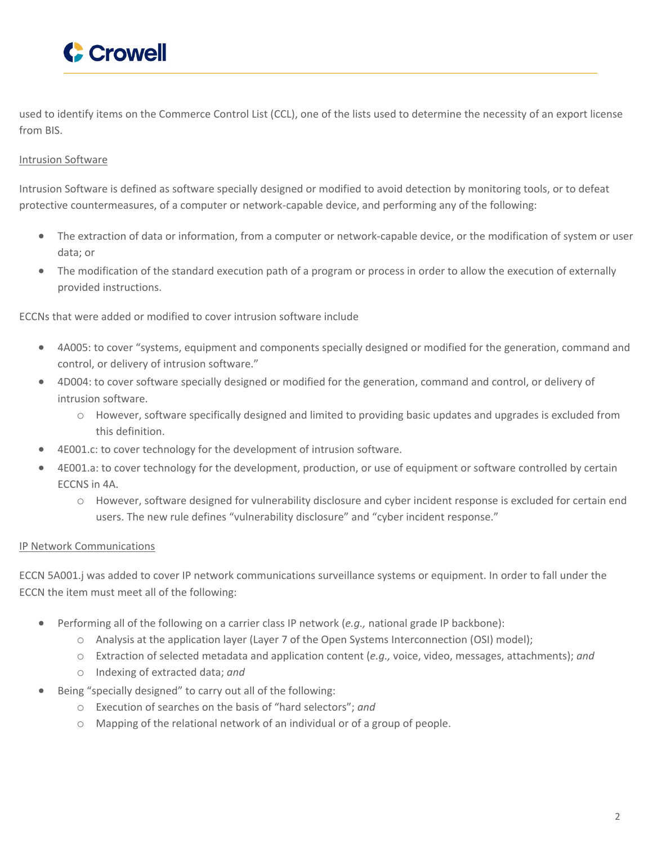

used to identify items on the Commerce Control List (CCL), one of the lists used to determine the necessity of an export license from BIS.

#### Intrusion Software

Intrusion Software is defined as software specially designed or modified to avoid detection by monitoring tools, or to defeat protective countermeasures, of a computer or network-capable device, and performing any of the following:

- The extraction of data or information, from a computer or network-capable device, or the modification of system or user data; or
- The modification of the standard execution path of a program or process in order to allow the execution of externally provided instructions.

#### ECCNs that were added or modified to cover intrusion software include

- 4A005: to cover "systems, equipment and components specially designed or modified for the generation, command and control, or delivery of intrusion software."
- 4D004: to cover software specially designed or modified for the generation, command and control, or delivery of intrusion software.
	- o However, software specifically designed and limited to providing basic updates and upgrades is excluded from this definition.
- 4E001.c: to cover technology for the development of intrusion software.
- 4E001.a: to cover technology for the development, production, or use of equipment or software controlled by certain ECCNS in 4A.
	- o However, software designed for vulnerability disclosure and cyber incident response is excluded for certain end users. The new rule defines "vulnerability disclosure" and "cyber incident response."

#### IP Network Communications

ECCN 5A001.j was added to cover IP network communications surveillance systems or equipment. In order to fall under the ECCN the item must meet all of the following:

- Performing all of the following on a carrier class IP network (*e.g.,* national grade IP backbone):
	- o Analysis at the application layer (Layer 7 of the Open Systems Interconnection (OSI) model);
	- o Extraction of selected metadata and application content (*e.g.,* voice, video, messages, attachments); *and*
	- o Indexing of extracted data; *and*
- Being "specially designed" to carry out all of the following:
	- o Execution of searches on the basis of "hard selectors"; *and*
	- o Mapping of the relational network of an individual or of a group of people.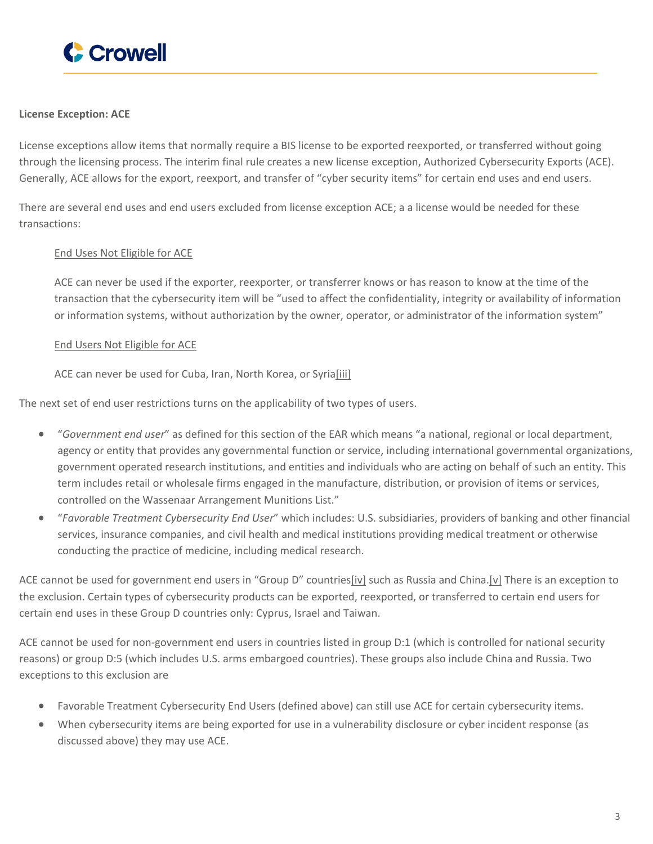

#### **License Exception: ACE**

License exceptions allow items that normally require a BIS license to be exported reexported, or transferred without going through the licensing process. The interim final rule creates a new license exception, Authorized Cybersecurity Exports (ACE). Generally, ACE allows for the export, reexport, and transfer of "cyber security items" for certain end uses and end users.

There are several end uses and end users excluded from license exception ACE; a a license would be needed for these transactions:

#### End Uses Not Eligible for ACE

ACE can never be used if the exporter, reexporter, or transferrer knows or has reason to know at the time of the transaction that the cybersecurity item will be "used to affect the confidentiality, integrity or availability of information or information systems, without authorization by the owner, operator, or administrator of the information system"

#### End Users Not Eligible for ACE

ACE can never be used for Cuba, Iran, North Korea, or Syria[iii]

The next set of end user restrictions turns on the applicability of two types of users.

- "*Government end user*" as defined for this section of the EAR which means "a national, regional or local department, agency or entity that provides any governmental function or service, including international governmental organizations, government operated research institutions, and entities and individuals who are acting on behalf of such an entity. This term includes retail or wholesale firms engaged in the manufacture, distribution, or provision of items or services, controlled on the Wassenaar Arrangement Munitions List."
- "*Favorable Treatment Cybersecurity End User*" which includes: U.S. subsidiaries, providers of banking and other financial services, insurance companies, and civil health and medical institutions providing medical treatment or otherwise conducting the practice of medicine, including medical research.

ACE cannot be used for government end users in "Group D" countries[iv] such as Russia and China.[v] There is an exception to the exclusion. Certain types of cybersecurity products can be exported, reexported, or transferred to certain end users for certain end uses in these Group D countries only: Cyprus, Israel and Taiwan.

ACE cannot be used for non-government end users in countries listed in group D:1 (which is controlled for national security reasons) or group D:5 (which includes U.S. arms embargoed countries). These groups also include China and Russia. Two exceptions to this exclusion are

- Favorable Treatment Cybersecurity End Users (defined above) can still use ACE for certain cybersecurity items.
- When cybersecurity items are being exported for use in a vulnerability disclosure or cyber incident response (as discussed above) they may use ACE.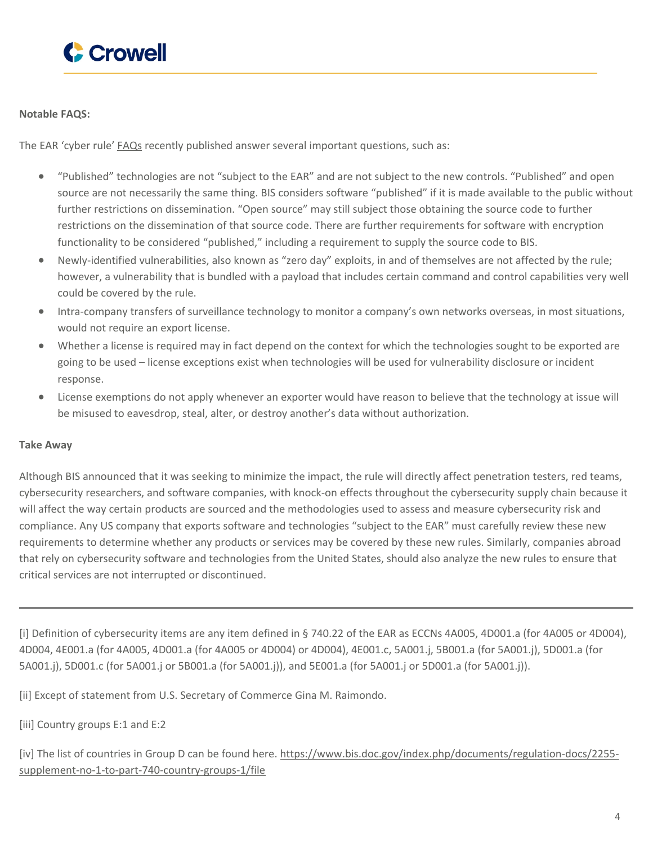

#### **Notable FAQS:**

The EAR 'cyber rule' [FAQs](https://www.bis.doc.gov/index.php/documents/pdfs/2872-cyber-tools-le-ace-faqs-final-version-nov-2021/file) recently published answer several important questions, such as:

- "Published" technologies are not "subject to the EAR" and are not subject to the new controls. "Published" and open source are not necessarily the same thing. BIS considers software "published" if it is made available to the public without further restrictions on dissemination. "Open source" may still subject those obtaining the source code to further restrictions on the dissemination of that source code. There are further requirements for software with encryption functionality to be considered "published," including a requirement to supply the source code to BIS.
- Newly-identified vulnerabilities, also known as "zero day" exploits, in and of themselves are not affected by the rule; however, a vulnerability that is bundled with a payload that includes certain command and control capabilities very well could be covered by the rule.
- Intra-company transfers of surveillance technology to monitor a company's own networks overseas, in most situations, would not require an export license.
- Whether a license is required may in fact depend on the context for which the technologies sought to be exported are going to be used – license exceptions exist when technologies will be used for vulnerability disclosure or incident response.
- License exemptions do not apply whenever an exporter would have reason to believe that the technology at issue will be misused to eavesdrop, steal, alter, or destroy another's data without authorization.

#### **Take Away**

Although BIS announced that it was seeking to minimize the impact, the rule will directly affect penetration testers, red teams, cybersecurity researchers, and software companies, with knock-on effects throughout the cybersecurity supply chain because it will affect the way certain products are sourced and the methodologies used to assess and measure cybersecurity risk and compliance. Any US company that exports software and technologies "subject to the EAR" must carefully review these new requirements to determine whether any products or services may be covered by these new rules. Similarly, companies abroad that rely on cybersecurity software and technologies from the United States, should also analyze the new rules to ensure that critical services are not interrupted or discontinued.

[i] Definition of cybersecurity items are any item defined in § 740.22 of the EAR as ECCNs 4A005, 4D001.a (for 4A005 or 4D004), 4D004, 4E001.a (for 4A005, 4D001.a (for 4A005 or 4D004) or 4D004), 4E001.c, 5A001.j, 5B001.a (for 5A001.j), 5D001.a (for 5A001.j), 5D001.c (for 5A001.j or 5B001.a (for 5A001.j)), and 5E001.a (for 5A001.j or 5D001.a (for 5A001.j)).

[ii] Except of statement from U.S. Secretary of Commerce Gina M. Raimondo.

[iii] Country groups E:1 and E:2

[iv] The list of countries in Group D can be found here. [https://www.bis.doc.gov/index.php/documents/regulation-docs/2255](https://www.bis.doc.gov/index.php/documents/regulation-docs/2255-supplement-no-1-to-part-740-country-groups-1/file) [supplement-no-1-to-part-740-country-groups-1/file](https://www.bis.doc.gov/index.php/documents/regulation-docs/2255-supplement-no-1-to-part-740-country-groups-1/file)